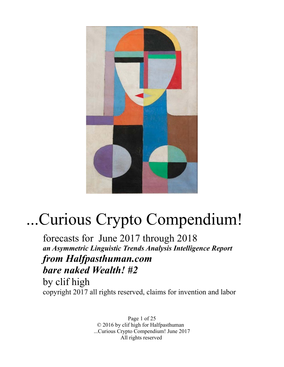

# ...Curious Crypto Compendium!

forecasts for June 2017 through 2018 *an Asymmetric Linguistic Trends Analysis Intelligence Report from Halfpasthuman.com bare naked Wealth! #2* by clif high copyright 2017 all rights reserved, claims for invention and labor

> Page 1 of 25 © 2016 by clif high for Halfpasthuman ...Curious Crypto Compendium! June 2017 All rights reserved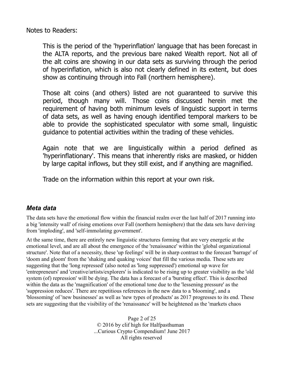Notes to Readers:

This is the period of the 'hyperinflation' language that has been forecast in the ALTA reports, and the previous bare naked Wealth report. Not all of the alt coins are showing in our data sets as surviving through the period of hyperinflation, which is also not clearly defined in its extent, but does show as continuing through into Fall (northern hemisphere).

Those alt coins (and others) listed are not guaranteed to survive this period, though many will. Those coins discussed herein met the requirement of having both minimum levels of linguistic support in terms of data sets, as well as having enough identified temporal markers to be able to provide the sophisticated speculator with some small, linguistic guidance to potential activities within the trading of these vehicles.

Again note that we are linguistically within a period defined as 'hyperinflationary'. This means that inherently risks are masked, or hidden by large capital inflows, but they still exist, and if anything are magnified.

Trade on the information within this report at your own risk.

#### *Meta data*

The data sets have the emotional flow within the financial realm over the last half of 2017 running into a big 'intensity wall' of rising emotions over Fall (northern hemisphere) that the data sets have deriving from 'imploding', and 'self-immolating government'.

At the same time, there are entirely new linguistic structures forming that are very energetic at the emotional level, and are all about the emergence of the 'renaissance' within the 'global organizational structure'. Note that of a necessity, these 'up feelings' will be in sharp contrast to the forecast 'barrage' of 'doom and gloom' from the 'shaking and quaking voices' that fill the various media. These sets are suggesting that the 'long repressed' (also noted as 'long suppressed') emotional up wave for 'entrepreneurs' and 'creative/artists/explorers' is indicated to be rising up to greater visibility as the 'old system (of) repression' will be dying. The data has a forecast of a 'bursting effect'. This is described within the data as the 'magnification' of the emotional tone due to the 'lessening pressure' as the 'suppression reduces'. There are repetitious references in the new data to a 'blooming', and a 'blossoming' of 'new businesses' as well as 'new types of products' as 2017 progresses to its end. These sets are suggesting that the visibility of the 'renaissance' will be heightened as the 'markets chaos

> Page 2 of 25 © 2016 by clif high for Halfpasthuman ...Curious Crypto Compendium! June 2017 All rights reserved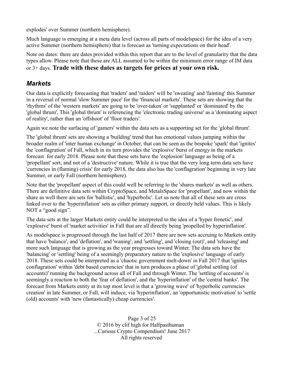explodes' over Summer (northern hemisphere).

Much language is emerging at a meta data level (across all parts of modelspace) for the idea of a very active Summer (northern hemisphere) that is forecast as 'turning expectations on their head'.

Note on dates: there are dates provided within this report that are to the level of granularity that the data types allow. Please note that these are ALL assumed to be within the minimum error range of IM data or 3+ days. **Trade with these dates as targets for prices at your own risk.** 

## *Markets*

Our data is explicitly forecasting that 'traders' and 'raiders' will be 'sweating' and 'fainting' this Summer in a reversal of normal 'slow Summer pace' for the 'financial markets'. These sets are showing that the 'rhythms' of the 'western markets' are going to be 'over-taken' or 'supplanted' or 'dominated' by the 'global thrum'. This 'global thrum' is referencing the 'electronic trading universe' as a 'dominating aspect of reality', rather than an 'offshoot' of 'floor traders'.

Again we note the surfacing of 'gamers' within the data sets as a supporting set for the 'global thrum'.

The 'global thrum' sets are showing a 'building' trend that has emotional values jumping within the broader realm of 'inter human exchange' in October, that can be seen as the bespoke 'spark' that 'ignites' the 'conflagration' of Fall, which in its turn provides the 'explosive' burst of energy in the markets forecast for early 2018. Please note that these sets have the 'explosion' language as being of a 'propellant' sort, and not of a 'destructive' nature. While it is true that the very long term data sets have 'currencies in (flaming) crisis' for early 2018, the data also has the 'conflagration' beginning in very late Summer, or early Fall (northern hemisphere).

Note that the 'propellant' aspect of this could well be referring to the 'shares markets' as well as others. There are definitive data sets within CryptoSpace, and MetalsSpace for 'propellant', and now within the share as well there are sets for 'ballistic', and 'hyperbolic'. Let us note that all of these sets are cross linked over to the 'hyperinflation' sets as either primary support, or directly held values. This is likely NOT a "good sign".

The data sets at the larger Markets entity could be interpreted to the idea of a 'hyper frenetic', and 'explosive' burst of 'market activities' in Fall that are all directly being 'propelled by hyperinflation'.

As modelspace is progressed through the last half of 2017 there are new sets accruing to Markets entity that have 'balance', and 'deflation', and 'waning', and 'settling', and 'closing (out)', and 'releasing' and more such language that is growing as the year progresses toward Winter. The data sets have the 'balancing' or 'settling' being of a seemingly preparatory nature to the 'explosive' language of early 2018. These sets could be interpreted as a 'chaotic government melt-down' in Fall 2017 that 'ignites conflagration' within 'debt based currencies' that in turn produces a phase of 'global settling (of accounts)' running the background across all of Fall and through Winter. The 'settling of accounts' is seemingly a reaction to both the 'fear of deflation', and the 'hyperinflation' of the 'central banks'. The forecast from Markets entity at its top most level is that a 'growing wave' of 'hyperbolic currencies creation' in late Summer, or Fall, will induce, via 'hyperinflation', an 'opportunistic motivation' to 'settle (old) accounts' with 'new (fantastically) cheap currencies'.

> Page 3 of 25 © 2016 by clif high for Halfpasthuman ...Curious Crypto Compendium! June 2017 All rights reserved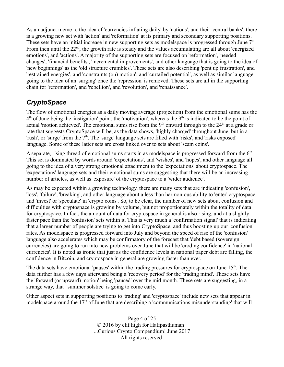As an adjunct meme to the idea of 'currencies inflating daily' by 'nations', and their 'central banks', there is a growing new set with 'action' and 'reformation' at its primary and secondary supporting positions. These sets have an initial increase in new supporting sets as modelspace is progressed through June  $7<sup>th</sup>$ . From then until the 22<sup>nd</sup>, the growth rate is steady and the values accumulating are all about 'energized emotions', and 'actions'. A majority of the supporting sets are focused on 'reformation', 'needed changes', 'financial benefits', 'incremental improvements', and other language that is going to the idea of 'new beginnings' as the 'old structure crumbles'. These sets are also describing 'pent up frustration', and 'restrained energies', and 'constraints (on) motion', and 'curtailed potential', as well as similar language going to the idea of an 'surging' once the 'repression' is removed. These sets are all in the supporting chain for 'reformation', and 'rebellion', and 'revolution', and 'renaissance'.

## *CryptoSpace*

The flow of emotional energies as a daily moving average (projection) from the emotional sums has the  $4<sup>th</sup>$  of June being the 'instigation' point, the 'motivation', whereas the  $9<sup>th</sup>$  is indicated to be the point of actual 'motion achieved'. The emotional sums rise from the  $9<sup>th</sup>$  onward through to the  $24<sup>th</sup>$  at a grade or rate that suggests CryptoSpace will be, as the data shows, 'highly charged' throughout June, but in a 'rush', or 'surge' from the  $7<sup>th</sup>$ . The 'surge' language sets are filled with 'risks', and 'risks exposed' language. Some of these latter sets are cross linked over to sets about 'scam coins'.

A separate, rising thread of emotional sums starts in as modelspace is progressed forward from the  $6<sup>th</sup>$ . This set is dominated by words around 'expectations', and 'wishes', and 'hopes', and other language all going to the idea of a very strong emotional attachment to the 'expectations' about cryptospace. The 'expectations' language sets and their emotional sums are suggesting that there will be an increasing number of articles, as well as 'exposure' of the cryptospace to a 'wider audience'.

As may be expected within a growing technology, there are many sets that are indicating 'confusion', 'loss', 'failure', 'breaking', and other language about a less than harmonious ability to 'enter' cryptospace, and 'invest' or 'speculate' in 'crypto coins'. So, to be clear, the number of new sets about confusion and difficulties with cryptospace is growing by volume, but not proportionately within the totality of data for cryptospace. In fact, the amount of data for cryptospace in general is also rising, and at a slightly faster pace than the 'confusion' sets within it. This is very much a 'confirmation signal' that is indicating that a larger number of people are trying to get into CryptoSpace, and thus boosting up our 'confusion' rates. As modelspace is progressed forward into July and beyond the speed of rise of the 'confusion' language also accelerates which may be confirmatory of the forecast that 'debt based (sovereign currencies) are going to run into new problems over June that will be 'eroding confidence' in 'national currencies'. It is noted as ironic that just as the confidence levels in national paper debt are falling, the confidence in Bitcoin, and cryptospace in general are growing faster than ever.

The data sets have emotional 'pauses' within the trading pressures for cryptospace on June 15<sup>th</sup>. The data further has a few days afterward being a 'recovery period' for the 'trading mind'. These sets have the 'forward (or upward) motion' being 'paused' over the mid month. These sets are suggesting, in a strange way, that 'summer solstice' is going to come early.

Other aspect sets in supporting positions to 'trading' and 'cryptospace' include new sets that appear in modelspace around the 17<sup>th</sup> of June that are describing a 'communications misunderstanding' that will

> Page 4 of 25 © 2016 by clif high for Halfpasthuman ...Curious Crypto Compendium! June 2017 All rights reserved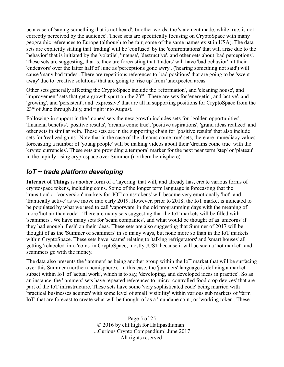be a case of 'saying something that is not heard'. In other words, the 'statement made, while true, is not correctly perceived by the audience'. These sets are specifically focusing on CryptoSpace with many geographic references to Europe (although to be fair, some of the same names exist in USA). The data sets are explicitly stating that 'trading' will be 'confused' by the 'confrontations' that will arise due to the 'behavior' that is initiated by the 'volatile', 'intense', 'destructive', and other sets about 'bad perceptions'. These sets are suggesting, that is, they are forecasting that 'traders' will have 'bad behavior' hit their 'endeavors' over the latter half of June as 'perceptions gone awry', ('hearing something not said') will cause 'many bad trades'. There are repetitious references to 'bad positions' that are going to be 'swept away' due to 'creative solutions' that are going to 'rise up' from 'unexpected areas'.

Other sets generally affecting the CryptoSpace include the 'reformation', and 'cleaning house', and 'improvement' sets that get a growth spurt on the 23<sup>rd</sup>. There are sets for 'energetic', and 'active', and 'growing', and 'persistent', and 'expressive' that are all in supporting positions for CryptoSpace from the  $23<sup>rd</sup>$  of June through July, and right into August.

Following in support in the 'money' sets the new growth includes sets for 'golden opportunities', 'financial benefits', 'positive results', 'dreams come true', 'positive aspirations', 'grand ideas realized' and other sets in similar vein. These sets are in the supporting chain for 'positive results' that also include sets for 'realized gains'. Note that in the case of the 'dreams come true' sets, there are immediacy values forecasting a number of 'young people' will be making videos about their 'dreams come true' with the 'crypto currencies'. These sets are providing a temporal marker for the next near term 'step' or 'plateau' in the rapidly rising cryptospace over Summer (northern hemisphere).

#### *IoT ~ trade platform developing*

**Internet of Things** is another form of a 'layering' that will, and already has, create various forms of cryptospace tokens, including coins. Some of the longer term language is forecasting that the 'transition' or 'conversion' markets for 'IOT coins/tokens' will become very emotionally 'hot', and 'frantically active' as we move into early 2019. However, prior to 2018, the IoT market is indicated to be populated by what we used to call 'vaporware' in the old programming days with the meaning of more 'hot air than code'. There are many sets suggesting that the IoT markets will be filled with 'scammers'. We have many sets for 'scam companies', and what would be thought of as 'unicorns' if they had enough 'flesh' on their ideas. These sets are also suggesting that Summer of 2017 will be thought of as the 'Summer of scammers' in so many ways, but none more so than in the IoT markets within CryptoSpace. These sets have 'scams' relating to 'talking refrigerators' and 'smart houses' all getting 'relabeled' into 'coins' in CryptoSpace, mostly JUST because it will be such a 'hot market', and scammers go with the money.

The data also presents the 'jammers' as being another group within the IoT market that will be surfacing over this Summer (northern hemisphere). In this case, the 'jammers' language is defining a market subset within IoT of 'actual work', which is to say, 'developing, and developed ideas in practice'. So as an instance, the 'jammers' sets have repeated references to 'micro-controlled food crop devices' that are part of the IoT infrastructure. These sets have some 'very sophisticated code' being married with 'practical businesses acumen' with some level of small 'visibility' within various sub markets of 'farm IoT' that are forecast to create what will be thought of as a 'mundane coin', or 'working token'. These

> Page 5 of 25 © 2016 by clif high for Halfpasthuman ...Curious Crypto Compendium! June 2017 All rights reserved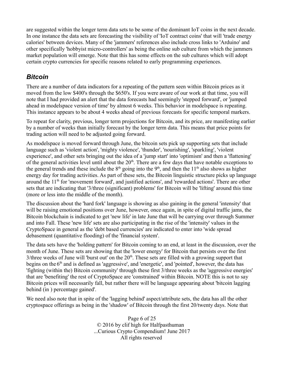are suggested within the longer term data sets to be some of the dominant IoT coins in the next decade. In one instance the data sets are forecasting the visibility of 'IoT contract coins' that will 'trade energy calories' between devices. Many of the 'jammers' references also include cross links to 'Arduino' and other specifically 'hobbyist micro-controllers' as being the online sub culture from which the jammers market population will emerge. Note that this has some effects on the sub cultures which will adopt certain crypto currencies for specific reasons related to early programming experiences.

#### *Bitcoin*

There are a number of data indicators for a repeating of the pattern seen within Bitcoin prices as it moved from the low \$400's through the \$650's. If you were aware of our work at that time, you will note that I had provided an alert that the data forecasts had seemingly 'stepped forward', or 'jumped ahead in modelspace version of time' by almost 6 weeks. This behavior in modelspace is repeating. This instance appears to be about 4 weeks ahead of previous forecasts for specific temporal markers.

To repeat for clarity, previous, longer term projections for Bitcoin, and its price, are manifesting earlier by a number of weeks than initially forecast by the longer term data. This means that price points for trading action will need to be adjusted going forward.

As modelspace is moved forward through June, the bitcoin sets pick up supporting sets that include language such as 'violent action', 'mighty violence', 'thunder', 'nourishing', 'sparkling', 'violent experience', and other sets bringing out the idea of a 'jump start' into 'optimism' and then a 'flattening' of the general activities level until about the  $20<sup>th</sup>$ . There are a few days that have notable exceptions to the general trends and these include the  $8<sup>th</sup>$  going into the  $9<sup>th</sup>$ , and then the  $11<sup>th</sup>$  also shows as higher energy day for trading activities. As part of these sets, the Bitcoin linguistic structure picks up language around the 11<sup>th</sup> for 'movement forward', and justified actions', and 'rewarded actions'. There are other sets that are indicating that '3/three (significant) problems' for Bitcoin will be 'lifting' around this time (more or less into the middle of the month).

The discussion about the 'hard fork' language is showing as also gaining in the general 'intensity' that will be raising emotional positions over June, however, once again, in spite of digital traffic jams, the Bitcoin blockchain is indicated to get 'new life' in late June that will be carrying over through Summer and into Fall. These 'new life' sets are also participating in the rise of the 'intensity' values in the CryptoSpace in general as the 'debt based currencies' are indicated to enter into 'wide spread debasement (quantitative flooding) of the 'financial system'.

The data sets have the 'holding pattern' for Bitcoin coming to an end, at least in the discussion, over the month of June. These sets are showing that the 'lower energy' for Bitcoin that persists over the first  $3$ /three weeks of June will 'burst out' on the  $20<sup>th</sup>$ . These sets are filled with a growing support that begins on the  $6<sup>th</sup>$  and is defined as 'aggressive', and 'energetic', and 'pointed', however, the data has 'fighting (within the) Bitcoin community' through these first 3/three weeks as the 'aggressive energies' that are 'benefiting' the rest of CryptoSpace are 'constrained' within Bitcoin. NOTE this is not to say Bitcoin prices will necessarily fall, but rather there will be language appearing about 'bitcoin lagging behind (in ) percentage gained'.

We need also note that in spite of the 'lagging behind' aspect/attribute sets, the data has all the other cryptospace offerings as being in the 'shadow' of Bitcoin through the first 20/twenty days. Note that

> Page 6 of 25 © 2016 by clif high for Halfpasthuman ...Curious Crypto Compendium! June 2017 All rights reserved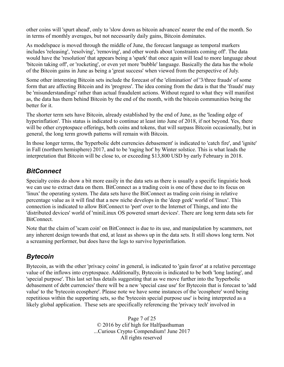other coins will 'spurt ahead', only to 'slow down as bitcoin advances' nearer the end of the month. So in terms of monthly averages, but not necessarily daily gains, Bitcoin dominates.

As modelspace is moved through the middle of June, the forecast language as temporal markers includes 'releasing', 'resolving', 'removing', and other words about 'constraints coming off'. The data would have the 'resolution' that appears being a 'spark' that once again will lead to more language about 'bitcoin taking off', or 'rocketing', or even yet more 'bubble' language. Basically the data has the whole of the Bitcoin gains in June as being a 'great success' when viewed from the perspective of July.

Some other interesting Bitcoin sets include the forecast of the 'elimination' of '3/three frauds' of some form that are affecting Bitcoin and its 'progress'. The idea coming from the data is that the 'frauds' may be 'misunderstandings' rather than actual fraudulent actions. Without regard to what they will manifest as, the data has them behind Bitcoin by the end of the month, with the bitcoin communities being the better for it.

The shorter term sets have Bitcoin, already established by the end of June, as the 'leading edge of hyperinflation'. This status is indicated to continue at least into June of 2018, if not beyond. Yes, there will be other cryptospace offerings, both coins and tokens, that will surpass Bitcoin occasionally, but in general, the long term growth patterns will remain with Bitcoin.

In those longer terms, the 'hyperbolic debt currencies debasement' is indicated to 'catch fire', and 'ignite' in Fall (northern hemisphere) 2017, and to be 'raging hot' by Winter solstice. This is what leads the interpretation that Bitcoin will be close to, or exceeding \$13,800 USD by early February in 2018.

#### *BitConnect*

Specialty coins do show a bit more easily in the data sets as there is usually a specific linguistic hook we can use to extract data on them. BitConnect as a trading coin is one of these due to its focus on 'linux' the operating system. The data sets have the BitConnect as trading coin rising in relative percentage value as it will find that a new niche develops in the 'deep geek' world of 'linux'. This connection is indicated to allow BitConnect to 'port' over to the Internet of Things, and into the 'distributed devices' world of 'miniLinux OS powered smart devices'. There are long term data sets for **BitConnect** 

Note that the claim of 'scam coin' on BitConnect is due to its use, and manipulation by scammers, not any inherent design towards that end, at least as shows up in the data sets. It still shows long term. Not a screaming performer, but does have the legs to survive hyperinflation.

#### *Bytecoin*

Bytecoin, as with the other 'privacy coins' in general, is indicated to 'gain favor' at a relative percentage value of the inflows into cryptospace. Additionally, Bytecoin is indicated to be both 'long lasting', and 'special purpose'. This last set has details suggesting that as we move further into the 'hyperbolic debasement of debt currencies' there will be a new 'special case use' for Bytecoin that is forecast to 'add value' to the 'bytecoin ecosphere'. Please note we have some instances of the 'ecosphere' word being repetitious within the supporting sets, so the 'bytecoin special purpose use' is being interpreted as a likely global application. These sets are specifically referencing the 'privacy tech' involved in

> Page 7 of 25 © 2016 by clif high for Halfpasthuman ...Curious Crypto Compendium! June 2017 All rights reserved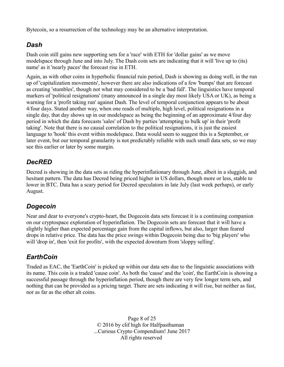Bytecoin, so a resurrection of the technology may be an alternative interpretation.

## *Dash*

Dash coin still gains new supporting sets for a 'race' with ETH for 'dollar gains' as we move modelspace through June and into July. The Dash coin sets are indicating that it will 'live up to (its) name' as it 'nearly paces' the forecast rise in ETH.

Again, as with other coins in hyperbolic financial ruin period, Dash is showing as doing well, in the run up of 'capitalization movements', however there are also indications of a few 'bumps' that are forecast as creating 'stumbles', though not what may considered to be a 'bad fall'. The linguistics have temporal markers of 'political resignations' (many announced in a single day most likely USA or UK), as being a warning for a 'profit taking run' against Dash. The level of temporal conjunction appears to be about 4/four days. Stated another way, when one reads of multiple, high level, political resignations in a single day, that day shows up in our modelspace as being the beginning of an approximate 4/four day period in which the data forecasts 'sales' of Dash by parties 'attempting to bulk up' in their 'profit taking'. Note that there is no causal correlation to the political resignations, it is just the easiest language to 'hook' this event within modelspace. Data would seem to suggest this is a September, or later event, but our temporal granularity is not predictably reliable with such small data sets, so we may see this earlier or later by some margin.

## *DecRED*

Decred is showing in the data sets as riding the hyperinflationary through June, albeit in a sluggish, and hesitant pattern. The data has Decred being priced higher in US dollars, though more or less, stable to lower in BTC. Data has a scary period for Decred speculators in late July (last week perhaps), or early August.

## *Dogecoin*

Near and dear to everyone's crypto-heart, the Dogecoin data sets forecast it is a continuing companion on our cryptospace exploration of hyperinflation. The Dogecoin sets are forecast that it will have a slightly higher than expected percentage gain from the capital inflows, but also, larger than feared drops in relative price. The data has the price swings within Dogecoin being due to 'big players' who will 'drop in', then 'exit for profits', with the expected downturn from 'sloppy selling'.

## *EarthCoin*

Traded as EAC, the 'EarthCoin' is picked up within our data sets due to the linguistic associations with its name. This coin is a traded 'cause coin'. As both the 'cause' and the 'coin', the EarthCoin is showing a successful passage through the hyperinflation period, though there are very few longer term sets, and nothing that can be provided as a pricing target. There are sets indicating it will rise, but neither as fast, nor as far as the other alt coins.

> Page 8 of 25 © 2016 by clif high for Halfpasthuman ...Curious Crypto Compendium! June 2017 All rights reserved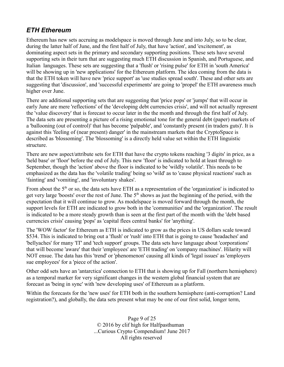## *ETH Ethereum*

Ethereum has new sets accruing as modelspace is moved through June and into July, so to be clear, during the latter half of June, and the first half of July, that have 'action', and 'excitement', as dominating aspect sets in the primary and secondary supporting positions. These sets have several supporting sets in their turn that are suggesting much ETH discussion in Spanish, and Portuguese, and Italian languages. These sets are suggesting that a 'flush' or 'rising pulse' for ETH in 'south America' will be showing up in 'new applications' for the Ethereum platform. The idea coming from the data is that the ETH token will have new 'price support' as 'use studies spread south'. These and other sets are suggesting that 'discussion', and 'successful experiments' are going to 'propel' the ETH awareness much higher over June.

There are additional supporting sets that are suggesting that 'price pops' or 'jumps' that will occur in early June are mere 'reflections' of the 'developing debt currencies crisis', and will not actually represent the 'value discovery' that is forecast to occur later in the the month and through the first half of July. The data sets are presenting a picture of a rising emotional tone for the general debt (paper) markets of a 'ballooning (out of control)' that has become 'palpable', and 'constantly present (in traders guts)'. It is against this 'feeling of (near present) danger' in the mainstream markets that the CryptoSpace is described as 'blossoming'. The 'blossoming' is a directly held value set within the ETH linguistic structure.

There are new aspect/attribute sets for ETH that have the crypto tokens reaching '3 digits' in price, as a 'held base' or 'floor' before the end of July. This new 'floor' is indicated to hold at least through to September, though the 'action' above the floor is indicated to be 'wildly volatile'. This needs to be emphasized as the data has the 'volatile trading' being so 'wild' as to 'cause physical reactions' such as 'fainting' and 'vomiting', and 'involuntary shakes'.

From about the  $5<sup>th</sup>$  or so, the data sets have ETH as a representation of the 'organization' is indicated to get very large 'boosts' over the rest of June. The  $5<sup>th</sup>$  shows as just the beginning of the period, with the expectation that it will continue to grow. As modelspace is moved forward through the month, the support levels for ETH are indicated to grow both in the 'communities' and the 'organization'. The result is indicated to be a more steady growth than is seen at the first part of the month with the 'debt based currencies crisis' causing 'pops' as 'capital flees central banks' for 'anything'.

The 'WOW factor' for Ethereum as ETH is indicated to grow as the prices in US dollars scale toward \$534. This is indicated to bring out a 'flush' or 'rush' into ETH that is going to cause 'headaches' and 'bellyaches' for many 'IT' and 'tech support' groups. The data sets have language about 'corporations' that will become 'aware' that their 'employees' are 'ETH trading' on 'company machines'. Hilarity will NOT ensue. The data has this 'trend' or 'phenomenon' causing all kinds of 'legal issues' as 'employers sue employees' for a 'piece of the action'.

Other odd sets have an 'antarctica' connection to ETH that is showing up for Fall (northern hemisphere) as a temporal marker for very significant changes in the western global financial system that are forecast as 'being in sync' with 'new developing uses' of Ethereum as a platform.

Within the forecasts for the 'new uses' for ETH both in the southern hemisphere (anti-corruption? Land registration?), and globally, the data sets present what may be one of our first solid, longer term,

> Page 9 of 25 © 2016 by clif high for Halfpasthuman ...Curious Crypto Compendium! June 2017 All rights reserved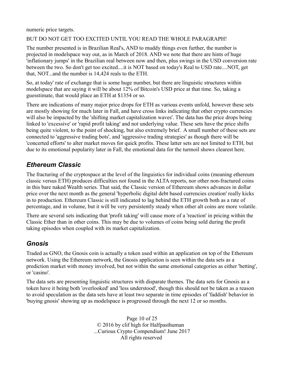numeric price targets.

#### BUT DO NOT GET TOO EXCITED UNTIL YOU READ THE WHOLE PARAGRAPH!

The number presented is in Brazilian Real's, AND to muddy things even further, the number is projected in modelspace way out, as in March of 2018. AND we note that there are hints of huge 'inflationary jumps' in the Brazilian real between now and then, plus swings in the USD conversion rate between the two. So don't get too excited....it is NOT based on today's Real to USD rate....NOT, get that, NOT...and the number is 14,424 reals to the ETH.

So, at today' rate of exchange that is some huge number, but there are linguistic structures within modelspace that are saying it will be about 12% of Bitcoin's USD price at that time. So, taking a guesstimate, that would place an ETH at \$1354 or so.

There are indications of many major price drops for ETH as various events unfold, however these sets are mostly showing for much later in Fall, and have cross links indicating that other crypto currencies will also be impacted by the 'shifting market capitalization waves'. The data has the price drops being linked to 'excessive' or 'rapid profit taking' and not underlying value. These sets have the price shifts being quite violent, to the point of shocking, but also extremely brief. A small number of these sets are connected to 'aggressive trading bots', and 'aggressive trading strategies' as though there will be 'concerted efforts' to alter market moves for quick profits. These latter sets are not limited to ETH, but due to its emotional popularity later in Fall, the emotional data for the turmoil shows clearest here.

#### *Ethereum Classic*

The fracturing of the cryptospace at the level of the linguistics for individual coins (meaning ethereum classic versus ETH) produces difficulties not found in the ALTA reports, nor other non-fractured coins in this bare naked Wealth series. That said, the Classic version of Ethereum shows advances in dollar price over the next month as the general 'hyperbolic digital debt based currencies creation' really kicks in to production. Ethereum Classic is still indicated to lag behind the ETH growth both as a rate of percentage, and in volume, but it will be very persistently steady when other alt coins are more volatile.

There are several sets indicating that 'profit taking' will cause more of a 'reaction' in pricing within the Classic Ether than in other coins. This may be due to volumes of coins being sold during the profit taking episodes when coupled with its market capitalization.

#### *Gnosis*

Traded as GNO, the Gnosis coin is actually a token used within an application on top of the Ethereum network. Using the Ethereum network, the Gnosis application is seen within the data sets as a prediction market with money involved, but not within the same emotional categories as either 'betting', or 'casino'.

The data sets are presenting linguistic structures with disparate themes. The data sets for Gnosis as a token have it being both 'overlooked' and 'less understood', though this should not be taken as a reason to avoid speculation as the data sets have at least two separate in time episodes of 'faddish' behavior in 'buying gnosis' showing up as modelspace is progressed through the next 12 or so months.

> Page 10 of 25 © 2016 by clif high for Halfpasthuman ...Curious Crypto Compendium! June 2017 All rights reserved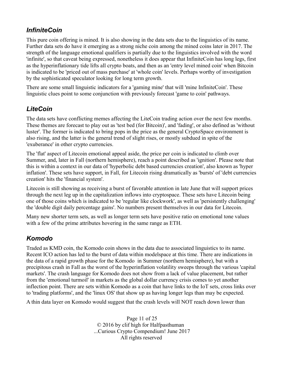## *InfiniteCoin*

This pure coin offering is mined. It is also showing in the data sets due to the linguistics of its name. Further data sets do have it emerging as a strong niche coin among the mined coins later in 2017. The strength of the language emotional qualifiers is partially due to the linguistics involved with the word 'infinite', so that caveat being expressed, nonetheless it does appear that InfiniteCoin has long legs, first as the hyperinflationary tide lifts all crypto boats, and then as an 'entry level mined coin' when Bitcoin is indicated to be 'priced out of mass purchase' at 'whole coin' levels. Perhaps worthy of investigation by the sophisticated speculator looking for long term growth.

There are some small linguistic indicators for a 'gaming mine' that will 'mine InfiniteCoin'. These linguistic clues point to some conjunction with previously forecast 'game to coin' pathways.

## *LiteCoin*

The data sets have conflicting memes affecting the LiteCoin trading action over the next few months. These themes are forecast to play out as 'test bed (for Bitcoin)', and 'fading', or also defined as 'without luster'. The former is indicated to bring pops in the price as the general CryptoSpace environment is also rising, and the latter is the general trend of slight rises, or mostly subdued in spite of the 'exuberance' in other crypto currencies.

The 'flat' aspect of Litecoin emotional appeal aside, the price per coin is indicated to climb over Summer, and, later in Fall (northern hemisphere), reach a point described as 'ignition'. Please note that this is within a context in our data of 'hyperbolic debt based currencies creation', also known as 'hyper inflation'. These sets have support, in Fall, for Litecoin rising dramatically as 'bursts' of 'debt currencies creation' hits the 'financial system'.

Litecoin is still showing as receiving a burst of favorable attention in late June that will support prices through the next leg up in the capitalization inflows into cryptospace. These sets have Litecoin being one of those coins which is indicated to be 'regular like clockwork', as well as 'persistently challenging' the 'double digit daily percentage gains'. No numbers present themselves in our data for Litecoin.

Many new shorter term sets, as well as longer term sets have positive ratio on emotional tone values with a few of the prime attributes hovering in the same range as ETH.

## *Komodo*

Traded as KMD coin, the Komodo coin shows in the data due to associated linguistics to its name. Recent ICO action has led to the burst of data within modelspace at this time. There are indications in the data of a rapid growth phase for the Komodo in Summer (northern hemisphere), but with a precipitous crash in Fall as the worst of the hyperinflation volatility sweeps through the various 'capital markets'. The crash language for Komodo does not show from a lack of value placement, but rather from the 'emotional turmoil' in markets as the global dollar currency crisis comes to yet another inflection point. There are sets within Komodo as a coin that have links to the IoT sets, cross links over to 'trading platforms', and the 'linux OS' that show up as having longer legs than may be expected.

A thin data layer on Komodo would suggest that the crash levels will NOT reach down lower than

Page 11 of 25 © 2016 by clif high for Halfpasthuman ...Curious Crypto Compendium! June 2017 All rights reserved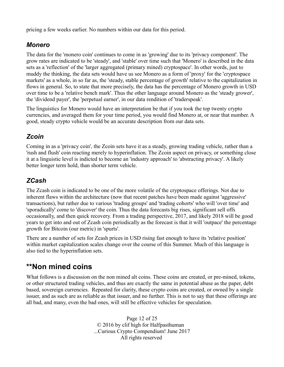pricing a few weeks earlier. No numbers within our data for this period.

### *Monero*

The data for the 'monero coin' continues to come in as 'growing' due to its 'privacy component'. The grow rates are indicated to be 'steady', and 'stable' over time such that 'Monero' is described in the data sets as a 'reflection' of the 'larger aggregated (primary mined) cryptospace'. In other words, just to muddy the thinking, the data sets would have us see Monero as a form of 'proxy' for the 'cryptospace markets' as a whole, in so far as, the 'steady, stable percentage of growth' relative to the capitalization in flows in general. So, to state that more precisely, the data has the percentage of Monero growth in USD over time to be a 'relative bench mark'. Thus the other language around Monero as the 'steady grower', the 'dividend payer', the 'perpetual earner', in our data rendition of 'traderspeak'.

The linguistics for Monero would have an interpretation be that if you took the top twenty crypto currencies, and averaged them for your time period, you would find Monero at, or near that number. A good, steady crypto vehicle would be an accurate description from our data sets.

## *Zcoin*

Coming in as a 'privacy coin', the Zcoin sets have it as a steady, growing trading vehicle, rather than a 'rush and flush' coin reacting merely to hyperinflation. The Zcoin aspect on privacy, or something close it at a linguistic level is indicted to become an 'industry approach' to 'abstracting privacy'. A likely better longer term hold, than shorter term vehicle.

## *ZCash*

The Zcash coin is indicated to be one of the more volatile of the cryptospace offerings. Not due to inherent flaws within the architecture (now that recent patches have been made against 'aggressive' transactions), but rather due to various 'trading groups' and 'trading cohorts' who will 'over time' and 'sporadically' come to 'discover' the coin. Thus the data forecasts big rises, significant sell offs occasionally, and then quick recovery. From a trading perspective, 2017, and likely 2018 will be good years to get into and out of Zcash coin periodically as the forecast is that it will 'outpace' the percentage growth for Bitcoin (our metric) in 'spurts'.

There are a number of sets for Zcash prices in USD rising fast enough to have its 'relative position' within market capitalization scales change over the course of this Summer. Much of this language is also tied to the hyperinflation sets.

# **\*\*Non mined coins**

What follows is a discussion on the non mined alt coins. These coins are created, or pre-mined, tokens, or other structured trading vehicles, and thus are exactly the same in potential abuse as the paper, debt based, sovereign currencies. Repeated for clarity, these crypto coins are created, or owned by a single issuer, and as such are as reliable as that issuer, and no further. This is not to say that these offerings are all bad, and many, even the bad ones, will still be effective vehicles for speculation.

> Page 12 of 25 © 2016 by clif high for Halfpasthuman ...Curious Crypto Compendium! June 2017 All rights reserved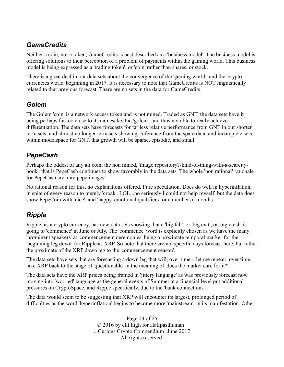## *GameCredits*

Neither a coin, nor a token, GameCredits is best described as a 'business model'. The business model is offering solutions to their perception of a problem of payments within the gaming world. This business model is being expressed as a 'trading token', or 'coin' rather than shares, or stock.

There is a great deal in our data sets about the convergence of the 'gaming world', and the 'crypto currencies world' beginning in 2017. It is necessary to note that GameCredits is NOT linguistically related to that previous forecast. There are no sets in the data for GameCredits.

#### *Golem*

The Golem 'coin' is a network access token and is not mined. Traded as GNT, the data sets have it being perhaps far too close to its namesake, the 'golem', and thus not able to really achieve differentiation. The data sets have forecasts for far less relative performance from GNT in our shorter term sets, and almost no longer term sets showing. Inference from the spare data, and incomplete sets, within modelspace for GNT, that growth will be sparse, episodic, and small.

## *PepeCash*

Perhaps the oddest of any alt coin, the non mined, 'image repository?-kind-of-thing-with-a-scarcityhook', that is PepeCash continues to show favorably in the data sets. The whole 'non rational' rationale for PepeCash are 'rare pepe images'.

No rational reason for this, no explanations offered. Pure speculation. Does do well in hyperinflation, in spite of every reason to merely 'croak'. LOL...no seriously I could not help myself, but the data does show PepeCoin with 'nice', and 'happy' emotional qualifiers for a number of months.

## *Ripple*

Ripple, as a crypto currency, has new data sets showing that a 'big fall', or 'big exit', or 'big crash' is going to 'commence' in June or July. The 'commence' word is explicitly chosen as we have the many 'prominent speakers' at 'commencement ceremonies' being a proximate temporal marker for the 'beginning leg down' for Ripple as XRP. So note that there are not specific days forecast here, but rather the proximate of the XRP down leg to the 'commencement season'.

The data sets have sets that are forecasting a down leg that will, over time....let me repeat...over time, take XRP back to the stage of 'questionable' in the meaning of 'does the market care for it?'.

The data sets have the XRP prices being framed in 'jittery language' as was previously forecast now moving into 'worried' language as the general events of Summer at a financial level put additional pressures on CryptoSpace, and Ripple specifically, due to the 'bank connections'.

The data would seem to be suggesting that XRP will encounter its largest, prolonged period of difficulties as the word 'hyperinflation' begins to become more 'mainstream' in its manifestation. Other

> Page 13 of 25 © 2016 by clif high for Halfpasthuman ...Curious Crypto Compendium! June 2017 All rights reserved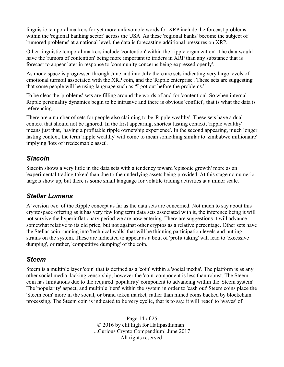linguistic temporal markers for yet more unfavorable words for XRP include the forecast problems within the 'regional banking sector' across the USA. As these 'regional banks' become the subject of 'rumored problems' at a national level, the data is forecasting additional pressures on XRP.

Other linguistic temporal markers include 'contention' within the 'ripple organization'. The data would have the 'rumors of contention' being more important to traders in XRP than any substance that is forecast to appear later in response to 'community concerns being expressed openly'.

As modelspace is progressed through June and into July there are sets indicating very large levels of emotional turmoil associated with the XRP coin, and the 'Ripple enterprise'. These sets are suggesting that some people will be using language such as "I got out before the problems."

To be clear the 'problems' sets are filling around the words of and for 'contention'. So when internal Ripple personality dynamics begin to be intrusive and there is obvious 'conflict', that is what the data is referencing.

There are a number of sets for people also claiming to be 'Ripple wealthy'. These sets have a dual context that should not be ignored. In the first appearing, shortest lasting context, 'ripple wealthy' means just that, 'having a profitable ripple ownership experience'. In the second appearing, much longer lasting context, the term 'ripple wealthy' will come to mean something similar to 'zimbabwe millionaire' implying 'lots of irredeemable asset'.

#### *Siacoin*

Siacoin shows a very little in the data sets with a tendency toward 'episodic growth' more as an 'experimental trading token' than due to the underlying assets being provided. At this stage no numeric targets show up, but there is some small language for volatile trading activities at a minor scale.

#### *Stellar Lumens*

A 'version two' of the Ripple concept as far as the data sets are concerned. Not much to say about this cryptospace offering as it has very few long term data sets associated with it, the inference being it will not survive the hyperinflationary period we are now entering. There are suggestions it will advance somewhat relative to its old price, but not against other cryptos as a relative percentage. Other sets have the Stellar coin running into 'technical walls' that will be thinning participation levels and putting strains on the system. These are indicated to appear as a bout of 'profit taking' will lead to 'excessive dumping', or rather, 'competitive dumping' of the coin.

#### *Steem*

Steem is a multiple layer 'coin' that is defined as a 'coin' within a 'social media'. The platform is as any other social media, lacking censorship, however the 'coin' component is less than robust. The Steem coin has limitations due to the required 'popularity' component to advancing within the 'Steem system'. The 'popularity' aspect, and multiple 'tiers' within the system in order to 'cash out' Steem coins place the 'Steem coin' more in the social, or brand token market, rather than mined coins backed by blockchain processing. The Steem coin is indicated to be very cyclic, that is to say, it will 'react' to 'waves' of

> Page 14 of 25 © 2016 by clif high for Halfpasthuman ...Curious Crypto Compendium! June 2017 All rights reserved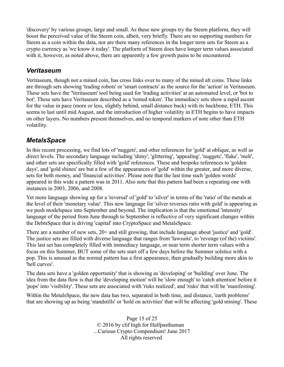'discovery' by various groups, large and small. As these new groups try the Steem platform, they will boost the perceived value of the Steem coin, albeit, very briefly. There are no supporting numbers for Steem as a coin within the data, nor are there many references in the longer term sets for Steem as a crypto currency as 'we know it today'. The platform of Steem does have longer term values associated with it, however, as noted above, there are apparently a few growth pains to be encountered.

#### *Veritaseum*

Veritaseum, though not a mined coin, has cross links over to many of the mined alt coins. These links are through sets showing 'trading robots' or 'smart contracts' as the source for the 'action' in Veritaseum. These sets have the 'Veritaseum' tool being used for 'trading activities' at an automated level, or 'bot to bot'. These sets have Veritaseum described as a 'rented token'. The immediacy sets show a rapid ascent for the value in pace (more or less, slightly behind, small distance back) with its backbone, ETH. This seems to last until mid August, and the introduction of higher volatility in ETH begins to have impacts on other layers. No numbers present themselves, and no temporal markers of note other than ETH volatility.

#### *MetalsSpace*

In this recent processing, we find lots of 'nuggets', and other references for 'gold' at oblique, as well as direct levels. The secondary language including 'shiny', 'glittering', 'appealing', 'nuggets', 'flake', 'melt', and other sets are specifically filled with 'gold' references. These and bespoke references to 'golden days', and 'gold shines' are but a few of the appearances of 'gold' within the greater, and more diverse, sets for both money, and 'financial activities'. Please note that the last time such 'golden words' appeared in this wide a pattern was in 2011. Also note that this pattern had been a repeating one with instances in 2003, 2006, and 2008.

Yet more language showing up for a 'reversal' of 'gold' to 'silver' in terms of the 'ratio' of the metals at the level of their 'monetary value'. This new language for 'silver reverses ratio with gold' is appearing as we push modelspace into September and beyond. The implication is that the emotional 'intensity' language of the period from June through to September is reflective of very significant changes within the DebtsSpace that is driving 'capital' into CryptoSpace and MetalsSpace.

There are a number of new sets, 20+ and still growing, that include language about 'justice' and 'gold'. The justice sets are filled with diverse language that ranges from 'lawsuits', to 'revenge (of the) victims'. This last set has completely filled with immediacy language, or near term shorter term values with a focus on this Summer, BUT some of the sets start off a few days before the Summer solstice with a pop. This is unusual as the normal pattern has a first appearance, then gradually building more akin to 'bell curves'.

The data sets have a 'golden opportunity' that is showing as 'developing' or 'building' over June. The idea from the data flow is that the 'developing motion' will be 'slow enough' to 'catch attention' before it 'pops' into 'visibility'. These sets are associated with 'risks realized', and 'risks' that will be 'manifesting'.

Within the MetalsSpace, the new data has two, separated in both time, and distance, 'earth problems' that are showing up as being 'standstills' or 'hold on activities' that will be affecting 'gold mining'. These

> Page 15 of 25 © 2016 by clif high for Halfpasthuman ...Curious Crypto Compendium! June 2017 All rights reserved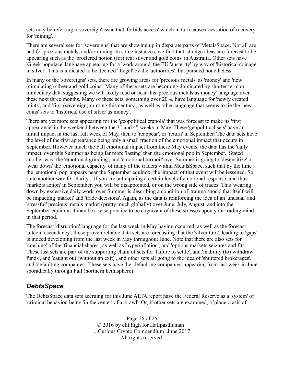sets may be referring a 'sovereign' issue that 'forbids access' which in turn causes 'cessation of recovery' for 'mining'.

There are several sets for 'sovereigns' that are showing up in disparate parts of MetalsSpace. Not all are bad for precious metals, and/or mining. In some instances, we find that 'strange ideas' are forecast to be appearing such as the 'proffered notion (for) real silver and gold coins' in Australia. Other sets have 'Greek populace' language appearing for a 'work around' the EU 'austerity' by way of 'historical coinage in silver'. This is indicated to be deemed 'illegal' by the 'authorities', but pursued nonetheless.

In many of the 'sovereigns' sets, there are growing areas for 'precious metals' as 'money' and 'new (circulating) silver and gold coins'. Many of these sets are becoming dominated by shorter term or immediacy data suggesting we will likely read or hear this 'precious metals as money' language over these next three months. Many of these sets, something over 20%, have language for 'newly created mints', and 'first (sovereign) minting this century', as well as other language that seems to tie the 'new coins' sets to 'historical use of silver as money'.

There are yet more sets appearing for the 'geopolitical crapola' that was forecast to make its 'first appearance' in the weekend between the 3<sup>rd</sup> and 4<sup>th</sup> weeks in May. These 'geopolitical sets' have an initial impact in the last full week of May, then to 'reappear', or 'return' in September. The data sets have the level of the first appearance being only a small fraction of the emotional impact that occurs in September. However much the Fall emotional impact from these May events, the data has the 'daily impact' over this Summer as being far more 'lasting' than the emotional pop in September. Stated another way, the 'emotional grinding', and 'emotional turmoil' over Summer is going to 'desensitize' or 'wear down' the 'emotional capacity' of many of the traders within MetalsSpace, such that by the time the 'emotional pop' appears near the September equinox, the 'impact' of that event will be lessened. So, state another way for clarity....if you are anticipating a certain level of emotional response, and thus 'markets action' in September, you will be disappointed, or on the wrong side of trades. This 'wearing down by excessive daily work' over Summer is describing a condition of 'trauma shock' that itself will be impacting 'market' and 'trade decisions'. Again, as the data is reinforcing the idea of an 'unusual' and 'stressful' precious metals market (pretty much globally) over June, July, August, and into the September equinox, it may be a wise practice to be cognizant of these stresses upon your trading mind in that period.

The forecast 'disruption' language for the last week in May having occurred, as well as the forecast 'bitcoin ascendancy', those proven reliable data sets are forecasting that the 'silver turn', leading to 'gaps' is indeed developing from the last week in May throughout June. Note that there are also sets for 'crashing' of the 'financial shares', as well as 'hyperinflation', and 'options markets seizures and fits'. These last sets are part of the supporting chain of sets for 'failure to settle', and 'inability (to) withdraw funds', and 'caught out (without an exit)', and other sets all going to the idea of 'shuttered brokerages', and 'defaulting companies'. These sets have the 'defaulting companies' appearing from last week in June sporadically through Fall (northern hemisphere).

#### *DebtsSpace*

The DebtsSpace data sets accruing for this June ALTA report have the Federal Reserve as a 'system' of 'criminal behavior' being 'in the center' of a 'brawl'. Or, if other sets are examined, a 'plane crash' of

> Page 16 of 25 © 2016 by clif high for Halfpasthuman ...Curious Crypto Compendium! June 2017 All rights reserved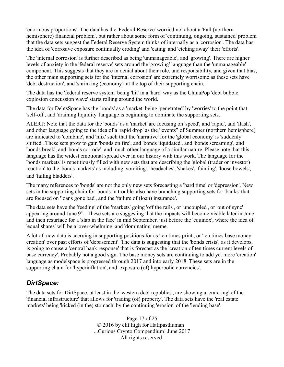'enormous proportions'. The data has the 'Federal Reserve' worried not about a 'Fall (northern hemisphere) financial problem', but rather about some form of 'continuing, ongoing, sustained' problem that the data sets suggest the Federal Reserve System thinks of internally as a 'corrosion'. The data has the idea of 'corrosive exposure continually eroding' and 'eating' and 'etching away' their 'efforts'.

The 'internal corrosion' is further described as being 'unmanageable', and 'growing'. There are higher levels of anxiety in the 'federal reserve' sets around the 'growing' language than the 'unmanageable' component. This suggests that they are in denial about their role, and responsibility, and given that bias, the other main supporting sets for the 'internal corrosion' are extremely worrisome as these sets have 'debt destruction', and 'shrinking (economy)' at the top of their supporting chain.

The data has the 'federal reserve system' being 'hit' in a 'hard' way as the ChinaPop 'debt bubble explosion concussion wave' starts rolling around the world.

The data for DebtsSpace has the 'bonds' as a 'market' being 'penetrated' by 'worries' to the point that 'self-off', and 'draining liquidity' language is beginning to dominate the supporting sets.

ALERT: Note that the data for the 'bonds' as a 'market' are focusing on 'speed', and 'rapid', and 'flash', and other language going to the idea of a 'rapid drop' as the "events" of Summer (northern hemisphere) are indicated to 'combine', and 'mix' such that the 'narrative' for the 'global economy' is 'suddenly shifted'. These sets grow to gain 'bonds on fire', and 'bonds liquidated', and 'bonds screaming', and 'bonds break', and 'bonds corrode', and much other language of a similar nature. Please note that this language has the widest emotional spread ever in our history with this work. The language for the 'bonds markets' is repetitiously filled with new sets that are describing the 'global (trader or investor) reaction' to the 'bonds markets' as including 'vomiting'. 'headaches', 'shakes', 'fainting', 'loose bowels', and 'failing bladders'.

The many references to 'bonds' are not the only new sets forecasting a 'hard time' or 'depression'. New sets in the supporting chain for 'bonds in trouble' also have branching supporting sets for 'banks' that are focused on 'loans gone bad', and the 'failure of (loan) insurance'.

The data sets have the 'feeding' of the 'markets' going 'off the rails', or 'uncoupled', or 'out of sync' appearing around June  $9<sup>th</sup>$ . These sets are suggesting that the impacts will become visible later in June and then resurface for a 'slap in the face' in mid September, just before the 'equinox', where the idea of 'equal shares' will be a 'over-whelming' and 'dominating' meme.

A lot of new data is accruing in supporting positions for as 'ten times print', or 'ten times base money creation' over past efforts of 'debasement'. The data is suggesting that the 'bonds crisis', as it develops, is going to cause a 'central bank response' that is forecast as the 'creation of ten times current levels of base currency'. Probably not a good sign. The base money sets are continuing to add yet more 'creation' language as modelspace is progressed through 2017 and into early 2018. These sets are in the supporting chain for 'hyperinflation', and 'exposure (of) hyperbolic currencies'.

#### *DirtSpace:*

The data sets for DirtSpace, at least in the 'western debt republics', are showing a 'cratering' of the 'financial infrastructure' that allows for 'trading (of) property'. The data sets have the 'real estate markets' being 'kicked (in the) stomach' by the continuing 'erosion' of the 'lending base'.

> Page 17 of 25 © 2016 by clif high for Halfpasthuman ...Curious Crypto Compendium! June 2017 All rights reserved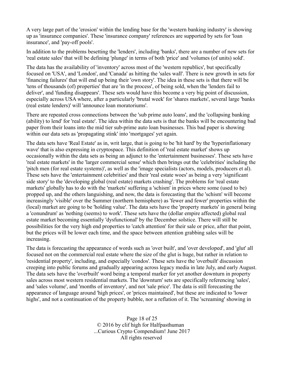A very large part of the 'erosion' within the lending base for the 'western banking industry' is showing up as 'insurance companies'. These 'insurance company' references are supported by sets for 'loan insurance', and 'pay-off pools'.

In addition to the problems besetting the 'lenders', including 'banks', there are a number of new sets for 'real estate sales' that will be defining 'plunge' in terms of both 'price' and 'volumes (of units) sold'.

The data has the availability of 'inventory' across most of the 'western republics', but specifically focused on 'USA', and 'London', and 'Canada' as hitting the 'sales wall'. There is new growth in sets for 'financing failures' that will end up being their 'own story'. The idea in these sets is that there will be 'tens of thousands (of) properties' that are 'in the process', of being sold, when the 'lenders fail to deliver', and 'funding disappears'. These sets would have this become a very big point of discussion, especially across USA where, after a particularly 'brutal week' for 'shares markets', several large 'banks (real estate lenders)' will 'announce loan moratoriums'.

There are repeated cross connections between the 'sub prime auto loans', and the 'collapsing banking (ability) to lend' for 'real estate'. The idea within the data sets is that the banks will be encountering bad paper from their loans into the mid tier sub-prime auto loan businesses. This bad paper is showing within our data sets as 'propagating stink' into 'mortgages' yet again.

The data sets have 'Real Estate' as in, writ large, that is going to be 'hit hard' by the 'hyperinflationary wave' that is also expressing in cryptospace. This definition of 'real estate market' shows up occasionally within the data sets as being an adjunct to the 'entertainment businesses'. These sets have 'real estate markets' in the 'larger commercial sense' which then brings out the 'celebrities' including the 'pitch men (for real estate systems)', as well as the 'image specialists (actors, models, producers et al). These sets have the 'entertainment celebrities' and their 'real estate woes' as being a very 'significant side story' to the 'developing global (real estate) markets crashing'. The problems for 'real estate markets' globally has to do with the 'markets' suffering a 'schism' in prices where some (used to be) propped up, and the others languishing, and now, the data is forecasting that the 'schism' will become increasingly 'visible' over the Summer (northern hemisphere) as 'fewer and fewer' properties within the (local) market are going to be 'holding value'. The data sets have the 'property markets' in general being a 'conundrum' as 'nothing (seems) to work'. These sets have the (dollar empire affected) global real estate market becoming essentially 'dysfunctional' by the December solstice. There will still be possibilities for the very high end properties to 'catch attention' for their sale or price, after that point, but the prices will be lower each time, and the space between attention grabbing sales will be increasing.

The data is forecasting the appearance of words such as 'over built', and 'over developed', and 'glut' all focused not on the commercial real estate where the size of the glut is huge, but rather in relation to 'residential property', including, and especially 'condos'. These sets have the 'overbuilt' discussion creeping into public forums and gradually appearing across legacy media in late July, and early August. The data sets have the 'overbuilt' word being a temporal marker for yet another downturn in property sales across most western residential markets. The 'downturn' sets are specifically referencing 'sales', and 'sales volume', and 'months of inventory', and not 'sale price'. The data is still forecasting the appearance of language around 'high prices', or 'prices maintained', but these are indicated to 'lower highs', and not a continuation of the property bubble, nor a reflation of it. The 'screaming' showing in

> Page 18 of 25 © 2016 by clif high for Halfpasthuman ...Curious Crypto Compendium! June 2017 All rights reserved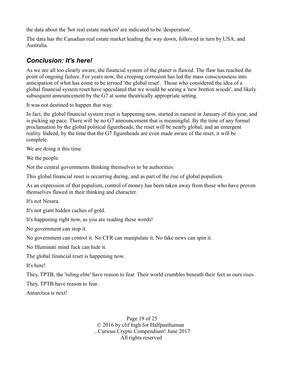the data about the 'hot real estate markets' are indicated to be 'desperation'.

The data has the Canadian real estate market leading the way down, followed in turn by USA, and Australia.

#### *Conclusion: It's here!*

As we are all too clearly aware, the financial system of the planet is flawed. The flaw has reached the point of ongoing failure. For years now, the creeping corrosion has led the mass consciousness into anticipation of what has come to be termed 'the global reset'. Those who considered the idea of a global financial system reset have speculated that we would be seeing a 'new bretton woods', and likely subsequent announcement by the G7 at some theatrically appropriate setting.

It was not destined to happen that way.

In fact, the global financial system reset is happening now, started in earnest in January of this year, and is picking up pace. There will be no G7 announcement that is meaningful. By the time of any formal proclamation by the global political figureheads, the reset will be nearly global, and an emergent reality. Indeed, by the time that the G7 figureheads are even made aware of the reset, it will be complete.

We are doing it this time.

We the people.

Not the central governments thinking themselves to be authorities.

This global financial reset is occurring during, and as part of the rise of global populism.

As an expression of that populism, control of money has been taken away from those who have proven themselves flawed in their thinking and character.

It's not Nesara.

It's not giant hidden caches of gold.

It's happening right now, as you are reading these words!

No government can stop it.

No government can control it. No CFR can manipulate it. No fake news can spin it.

No Illuminati mind fuck can hide it.

The global financial reset is happening now.

It's here!

They, TPTB, the 'ruling elite' have reason to fear. Their world crumbles beneath their feet as ours rises.

They, TPTB have reason to fear.

Antarctica is next!

Page 19 of 25 © 2016 by clif high for Halfpasthuman ...Curious Crypto Compendium! June 2017 All rights reserved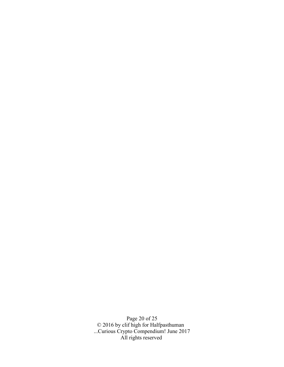Page 20 of 25 © 2016 by clif high for Halfpasthuman ...Curious Crypto Compendium! June 2017 All rights reserved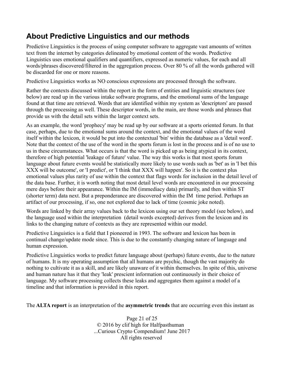# **About Predictive Linguistics and our methods**

Predictive Linguistics is the process of using computer software to aggregate vast amounts of written text from the internet by categories delineated by emotional content of the words. Predictive Linguistics uses emotional qualifiers and quantifiers, expressed as numeric values, for each and all words/phrases discovered/filtered in the aggregation process. Over 80 % of all the words gathered will be discarded for one or more reasons.

Predictive Linguistics works as NO conscious expressions are processed through the software.

Rather the contexts discussed within the report in the form of entities and linguistic structures (see below) are read up in the various intake software programs, and the emotional sums of the language found at that time are retrieved. Words that are identified within my system as 'descriptors' are passed through the processing as well. These descriptor words, in the main, are those words and phrases that provide us with the detail sets within the larger context sets.

As an example, the word 'prophecy' may be read up by our software at a sports oriented forum. In that case, perhaps, due to the emotional sums around the context, and the emotional values of the word itself within the lexicon, it would be put into the contextual 'bin' within the database as a 'detail word'. Note that the context of the use of the word in the sports forum is lost in the process and is of no use to us in these circumstances. What occurs is that the word is picked up as being atypical in its context, therefore of high potential 'leakage of future' value. The way this works is that most sports forum language about future events would be statistically more likely to use words such as 'bet' as in 'I bet this XXX will be outcome', or 'I predict', or 'I think that XXX will happen'. So it is the context plus emotional values plus rarity of use within the context that flags words for inclusion in the detail level of the data base. Further, it is worth noting that most detail level words are encountered in our processing mere days before their appearance. Within the IM (immediacy data) primarily, and then within ST (shorter term) data next. But a preponderance are discovered within the IM time period. Perhaps an artifact of our processing, if so, one not explored due to lack of time (cosmic joke noted).

Words are linked by their array values back to the lexicon using our set theory model (see below), and the language used within the interpretation (detail words excepted) derives from the lexicon and its links to the changing nature of contexts as they are represented within our model.

Predictive Linguistics is a field that I pioneered in 1993. The software and lexicon has been in continual change/update mode since. This is due to the constantly changing nature of language and human expression.

Predictive Linguistics works to predict future language about (perhaps) future events, due to the nature of humans. It is my operating assumption that all humans are psychic, though the vast majority do nothing to cultivate it as a skill, and are likely unaware of it within themselves. In spite of this, universe and human nature has it that they 'leak' prescient information out continuously in their choice of language. My software processing collects these leaks and aggregates them against a model of a timeline and that information is provided in this report.

The **ALTA report** is an interpretation of the **asymmetric trends** that are occurring even this instant as

Page 21 of 25 © 2016 by clif high for Halfpasthuman ...Curious Crypto Compendium! June 2017 All rights reserved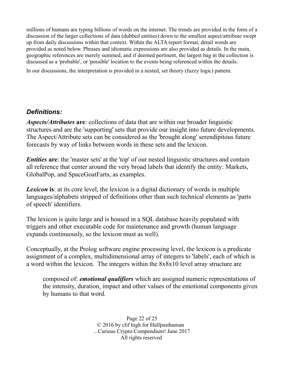millions of humans are typing billions of words on the internet. The trends are provided in the form of a discussion of the larger collections of data (dubbed entities) down to the smallest aspect/attribute swept up from daily discussions within that context. Within the ALTA report format, detail words are provided as noted below. Phrases and idiomatic expressions are also provided as details. In the main, geographic references are merely summed, and if deemed pertinent, the largest bag in the collection is discussed as a 'probable', or 'possible' location to the events being referenced within the details.

In our discussions, the interpretation is provided in a nested, set theory (fuzzy logic) pattern.

#### *Definitions:*

*Aspects/Attributes* **are**: collections of data that are within our broader linguistic structures and are the 'supporting' sets that provide our insight into future developments. The Aspect/Attribute sets can be considered as the 'brought along' serendipitous future forecasts by way of links between words in these sets and the lexicon.

*Entities* are: the 'master sets' at the 'top' of our nested linguistic structures and contain all reference that center around the very broad labels that identify the entity: Markets, GlobalPop, and SpaceGoatFarts, as examples.

**Lexicon** is: at its core level, the lexicon is a digital dictionary of words in multiple languages/alphabets stripped of definitions other than such technical elements as 'parts of speech' identifiers.

The lexicon is quite large and is housed in a SQL database heavily populated with triggers and other executable code for maintenance and growth (human language expands continuously, so the lexicon must as well).

Conceptually, at the Prolog software engine processing level, the lexicon is a predicate assignment of a complex, multidimensional array of integers to 'labels', each of which is a word within the lexicon. The integers within the 8x8x10 level array structure are

composed of: *emotional qualifiers* which are assigned numeric representations of the intensity, duration, impact and other values of the emotional components given by humans to that word.

> Page 22 of 25 © 2016 by clif high for Halfpasthuman ...Curious Crypto Compendium! June 2017 All rights reserved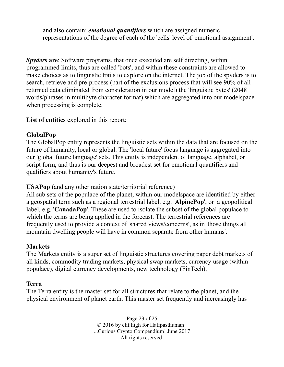and also contain: *emotional quantifiers* which are assigned numeric representations of the degree of each of the 'cells' level of 'emotional assignment'.

*Spyders* **are**: Software programs, that once executed are self directing, within programmed limits, thus are called 'bots', and within these constraints are allowed to make choices as to linguistic trails to explore on the internet. The job of the spyders is to search, retrieve and pre-process (part of the exclusions process that will see 90% of all returned data eliminated from consideration in our model) the 'linguistic bytes' (2048 words/phrases in multibyte character format) which are aggregated into our modelspace when processing is complete.

**List of entities** explored in this report:

#### **GlobalPop**

The GlobalPop entity represents the linguistic sets within the data that are focused on the future of humanity, local or global. The 'local future' focus language is aggregated into our 'global future language' sets. This entity is independent of language, alphabet, or script form, and thus is our deepest and broadest set for emotional quantifiers and qualifiers about humanity's future.

**USAPop** (and any other nation state/territorial reference)

All sub sets of the populace of the planet, within our modelspace are identified by either a geospatial term such as a regional terrestrial label, e.g. '**AlpinePop**', or a geopolitical label, e.g. '**CanadaPop**'. These are used to isolate the subset of the global populace to which the terms are being applied in the forecast. The terrestrial references are frequently used to provide a context of 'shared views/concerns', as in 'those things all mountain dwelling people will have in common separate from other humans'.

#### **Markets**

The Markets entity is a super set of linguistic structures covering paper debt markets of all kinds, commodity trading markets, physical swap markets, currency usage (within populace), digital currency developments, new technology (FinTech),

#### **Terra**

The Terra entity is the master set for all structures that relate to the planet, and the physical environment of planet earth. This master set frequently and increasingly has

> Page 23 of 25 © 2016 by clif high for Halfpasthuman ...Curious Crypto Compendium! June 2017 All rights reserved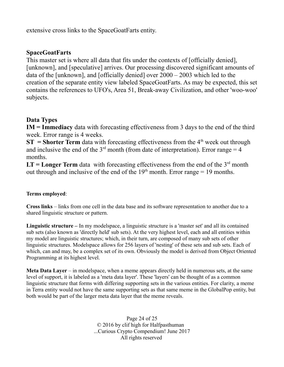extensive cross links to the SpaceGoatFarts entity.

#### **SpaceGoatFarts**

This master set is where all data that fits under the contexts of [officially denied], [unknown], and [speculative] arrives. Our processing discovered significant amounts of data of the [unknown], and [officially denied] over 2000 – 2003 which led to the creation of the separate entity view labeled SpaceGoatFarts. As may be expected, this set contains the references to UFO's, Area 51, Break-away Civilization, and other 'woo-woo' subjects.

#### **Data Types**

**IM = Immediacy** data with forecasting effectiveness from 3 days to the end of the third week. Error range is 4 weeks.

**ST** = **Shorter Term** data with forecasting effectiveness from the  $4<sup>th</sup>$  week out through and inclusive the end of the  $3<sup>rd</sup>$  month (from date of interpretation). Error range = 4 months.

 $LT = Longer Term$  data with forecasting effectiveness from the end of the  $3<sup>rd</sup>$  month out through and inclusive of the end of the  $19<sup>th</sup>$  month. Error range = 19 months.

#### **Terms employed**:

**Cross links** – links from one cell in the data base and its software representation to another due to a shared linguistic structure or pattern.

**Linguistic structure –** In my modelspace, a linguistic structure is a 'master set' and all its contained sub sets (also known as 'directly held' sub sets). At the very highest level, each and all entities within my model are linguistic structures; which, in their turn, are composed of many sub sets of other linguistic structures. Modelspace allows for 256 layers of 'nesting' of these sets and sub sets. Each of which, can and may, be a complex set of its own. Obviously the model is derived from Object Oriented Programming at its highest level.

**Meta Data Layer** – in modelspace, when a meme appears directly held in numerous sets, at the same level of support, it is labeled as a 'meta data layer'. These 'layers' can be thought of as a common linguistic structure that forms with differing supporting sets in the various entities. For clarity, a meme in Terra entity would not have the same supporting sets as that same meme in the GlobalPop entity, but both would be part of the larger meta data layer that the meme reveals.

> Page 24 of 25 © 2016 by clif high for Halfpasthuman ...Curious Crypto Compendium! June 2017 All rights reserved